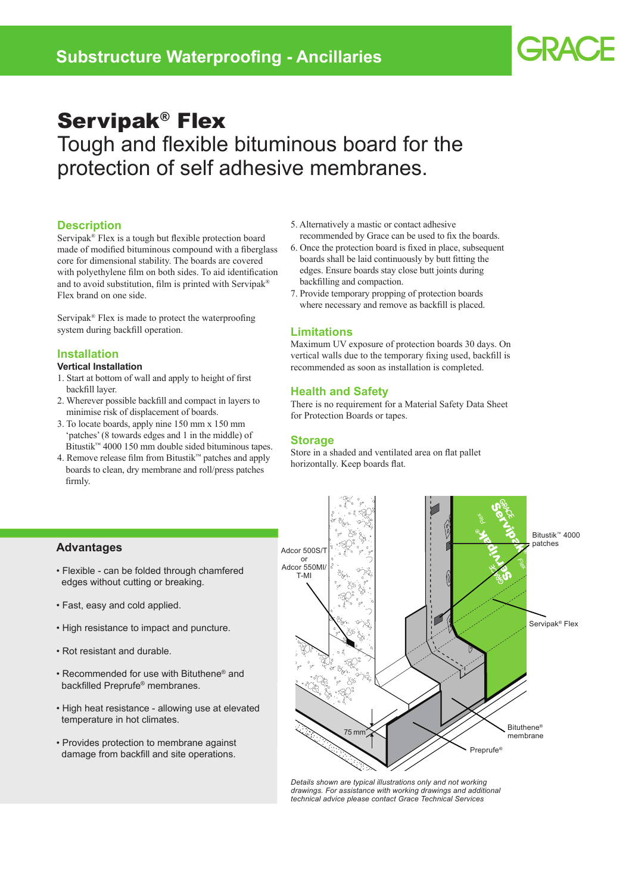# Servipak® Flex

Tough and flexible bituminous board for the protection of self adhesive membranes.

# **Description**

Servipak® Flex is a tough but flexible protection board made of modified bituminous compound with a fiberglass core for dimensional stability. The boards are covered with polyethylene film on both sides. To aid identification and to avoid substitution, film is printed with Servipak® Flex brand on one side.

Servipak® Flex is made to protect the waterproofing system during backfill operation.

#### **Installation**

#### **Vertical Installation**

- 1. Start at bottom of wall and apply to height of first backfill layer.
- 2. Wherever possible backfill and compact in layers to minimise risk of displacement of boards.
- 3. To locate boards, apply nine 150 mm x 150 mm 'patches' (8 towards edges and 1 in the middle) of Bitustik™ 4000 150 mm double sided bituminous tapes.
- 4. Remove release film from Bitustik™ patches and apply boards to clean, dry membrane and roll/press patches firmly.
- 5. Alternatively a mastic or contact adhesive recommended by Grace can be used to fix the boards.
- 6. Once the protection board is fixed in place, subsequent boards shall be laid continuously by butt fitting the edges. Ensure boards stay close butt joints during backfilling and compaction.
- 7. Provide temporary propping of protection boards where necessary and remove as backfill is placed.

#### **Limitations**

Maximum UV exposure of protection boards 30 days. On vertical walls due to the temporary fixing used, backfill is recommended as soon as installation is completed.

### **Health and Safety**

There is no requirement for a Material Safety Data Sheet for Protection Boards or tapes.

# **Storage**

Store in a shaded and ventilated area on flat pallet horizontally. Keep boards flat.

# **Advantages**

- Flexible can be folded through chamfered edges without cutting or breaking.
- Fast, easy and cold applied.
- High resistance to impact and puncture.
- Rot resistant and durable.
- Recommended for use with Bituthene® and backfilled Preprufe® membranes.
- High heat resistance allowing use at elevated temperature in hot climates.
- Provides protection to membrane against damage from backfill and site operations.



*Details shown are typical illustrations only and not working drawings. For assistance with working drawings and additional technical advice please contact Grace Technical Services*